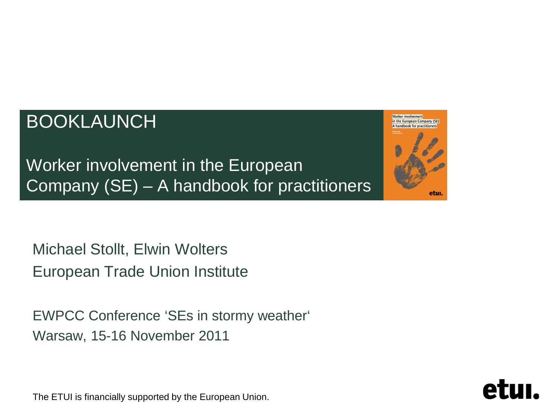#### BOOKLAUNCH

Worker involvement in the European Company (SE) A handbook for practitioners etui.

Worker involvement in the European Company (SE) – A handbook for practitioners

Michael Stollt, Elwin Wolters European Trade Union Institute

EWPCC Conference 'SEs in stormy weather' Warsaw, 15-16 November 2011

The ETUI is financially supported by the European Union.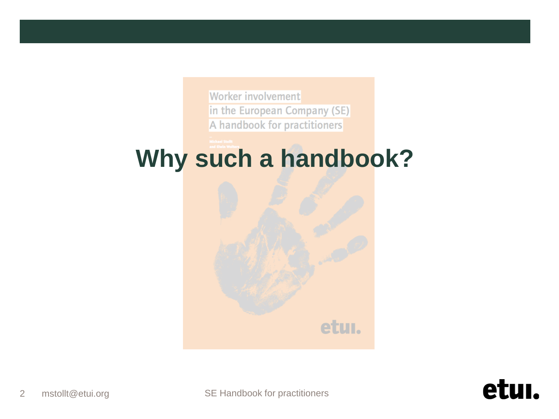Worker involvement in the European Company (SE) A handbook for practitioners

# **Why such a handbook?**

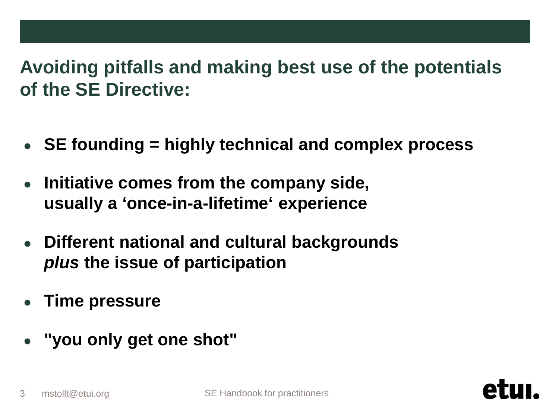#### **Avoiding pitfalls and making best use of the potentials of the SE Directive:**

- **SE founding = highly technical and complex process**
- **Initiative comes from the company side, usually a 'once-in-a-lifetime' experience**
- **Different national and cultural backgrounds** *plus* **the issue of participation**
- **Time pressure**
- **"you only get one shot"**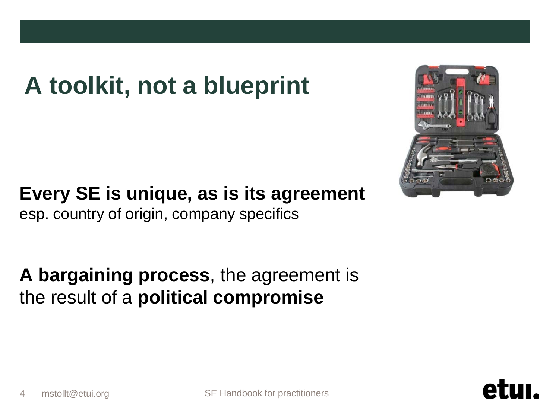# **A toolkit, not a blueprint**



**Every SE is unique, as is its agreement** esp. country of origin, company specifics

**A bargaining process**, the agreement is the result of a **political compromise**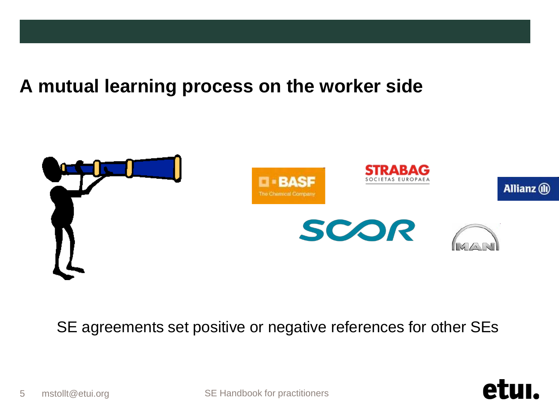#### **A mutual learning process on the worker side**



SE agreements set positive or negative references for other SEs

etu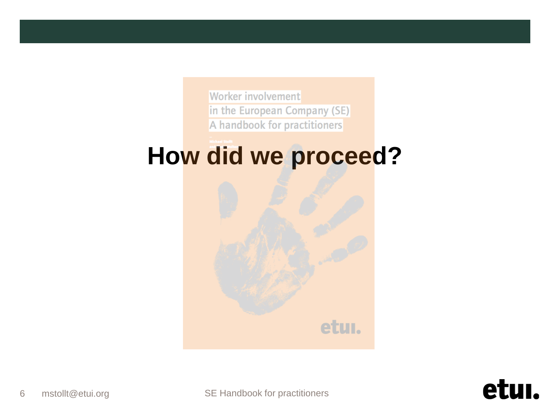Worker involvement in the European Company (SE) A handbook for practitioners

# **How did we proceed?**

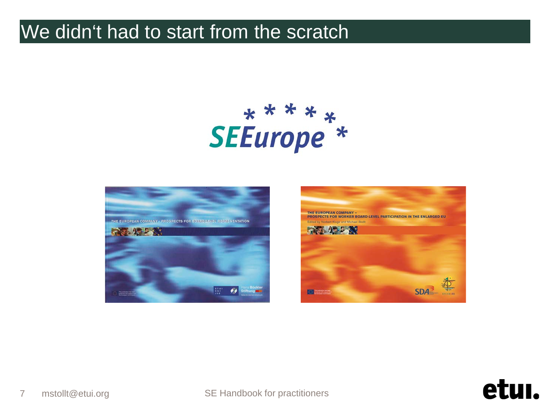#### We didn't had to start from the scratch

# sEEurope<sup>\*</sup>





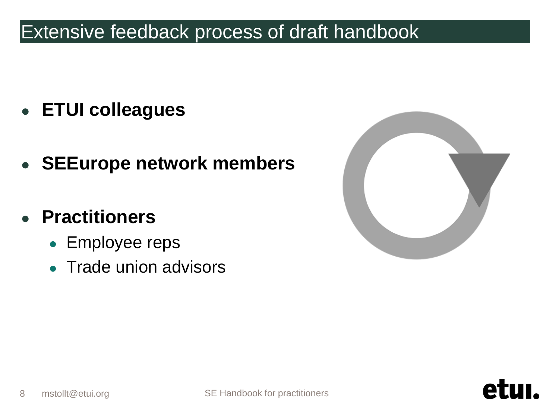#### Extensive feedback process of draft handbook

- **ETUI colleagues**
- **SEEurope network members**
- **Practitioners**
	- Employee reps
	- **Trade union advisors**



A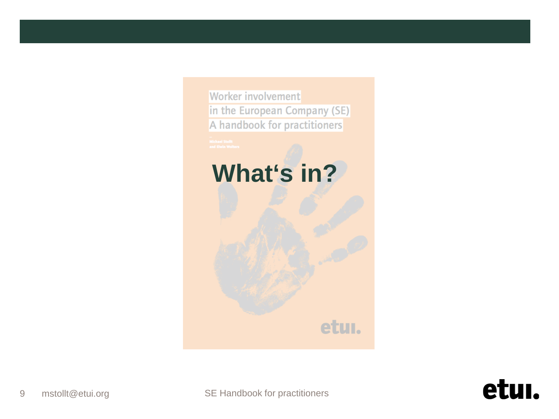

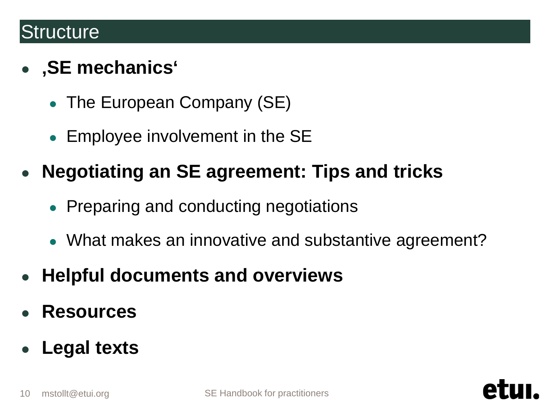#### **Structure**

#### ● **'SE mechanics'**

- The European Company (SE)
- Employee involvement in the SE
- **Negotiating an SE agreement: Tips and tricks**
	- **Preparing and conducting negotiations**
	- What makes an innovative and substantive agreement?
- **Helpful documents and overviews**
- **Resources**
- **Legal texts**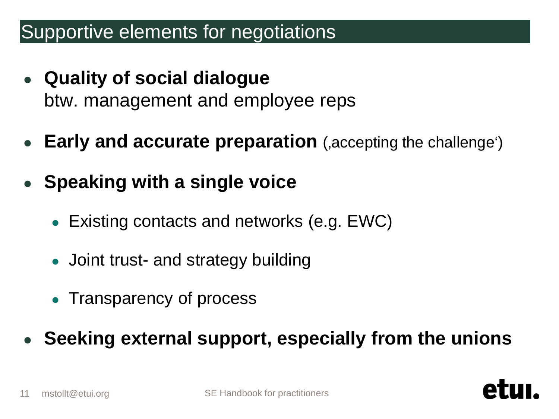#### Supportive elements for negotiations

- **Quality of social dialogue** btw. management and employee reps
- **Early and accurate preparation** ('accepting the challenge')
- **Speaking with a single voice**
	- Existing contacts and networks (e.g.  $EWC$ )
	- Joint trust- and strategy building
	- Transparency of process
- **Seeking external support, especially from the unions**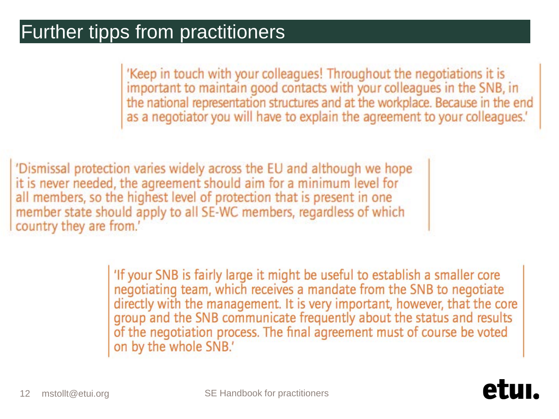#### Further tipps from practitioners

'Keep in touch with your colleagues! Throughout the negotiations it is important to maintain good contacts with your colleagues in the SNB, in the national representation structures and at the workplace. Because in the end as a negotiator you will have to explain the agreement to your colleagues.'

'Dismissal protection varies widely across the EU and although we hope it is never needed, the agreement should aim for a minimum level for all members, so the highest level of protection that is present in one member state should apply to all SE-WC members, regardless of which country they are from.'

> 'If your SNB is fairly large it might be useful to establish a smaller core negotiating team, which receives a mandate from the SNB to negotiate directly with the management. It is very important, however, that the core group and the SNB communicate frequently about the status and results of the negotiation process. The final agreement must of course be voted on by the whole SNB.'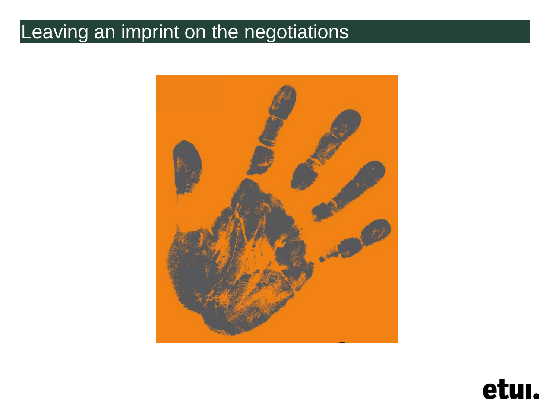### Leaving an imprint on the negotiations



etui.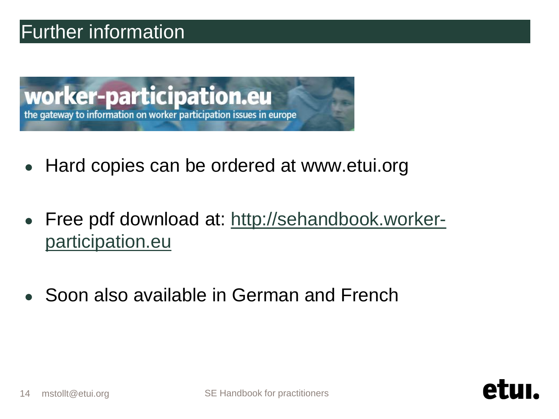#### Further information



- Hard copies can be ordered at www.etui.org
- Free pdf download at: [http://sehandbook.worker](http://sehandbook.worker-participation.eu)[participation.eu](http://sehandbook.worker-participation.eu)
- Soon also available in German and French

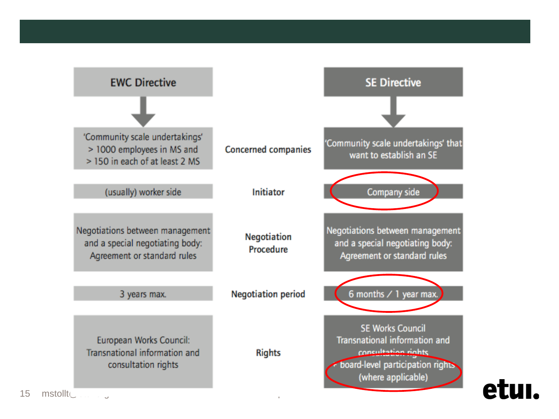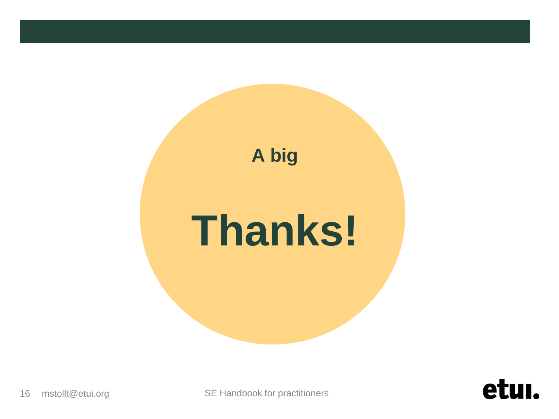